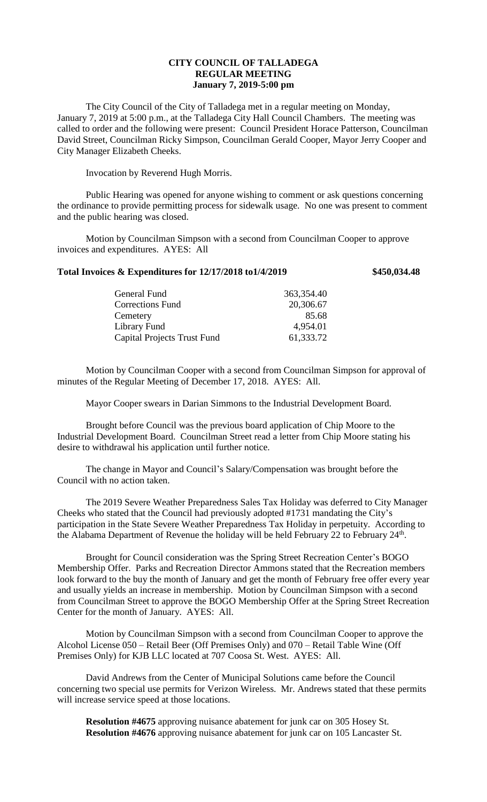## **CITY COUNCIL OF TALLADEGA REGULAR MEETING January 7, 2019-5:00 pm**

The City Council of the City of Talladega met in a regular meeting on Monday, January 7, 2019 at 5:00 p.m., at the Talladega City Hall Council Chambers. The meeting was called to order and the following were present: Council President Horace Patterson, Councilman David Street, Councilman Ricky Simpson, Councilman Gerald Cooper, Mayor Jerry Cooper and City Manager Elizabeth Cheeks.

Invocation by Reverend Hugh Morris.

Public Hearing was opened for anyone wishing to comment or ask questions concerning the ordinance to provide permitting process for sidewalk usage. No one was present to comment and the public hearing was closed.

Motion by Councilman Simpson with a second from Councilman Cooper to approve invoices and expenditures. AYES: All

## **Total Invoices & Expenditures for 12/17/2018 to1/4/2019 \$450,034.48**

| General Fund                | 363,354.40 |
|-----------------------------|------------|
| <b>Corrections Fund</b>     | 20,306.67  |
| Cemetery                    | 85.68      |
| Library Fund                | 4,954.01   |
| Capital Projects Trust Fund | 61,333.72  |
|                             |            |

Motion by Councilman Cooper with a second from Councilman Simpson for approval of minutes of the Regular Meeting of December 17, 2018. AYES: All.

Mayor Cooper swears in Darian Simmons to the Industrial Development Board.

Brought before Council was the previous board application of Chip Moore to the Industrial Development Board. Councilman Street read a letter from Chip Moore stating his desire to withdrawal his application until further notice.

The change in Mayor and Council's Salary/Compensation was brought before the Council with no action taken.

The 2019 Severe Weather Preparedness Sales Tax Holiday was deferred to City Manager Cheeks who stated that the Council had previously adopted #1731 mandating the City's participation in the State Severe Weather Preparedness Tax Holiday in perpetuity. According to the Alabama Department of Revenue the holiday will be held February 22 to February  $24<sup>th</sup>$ .

Brought for Council consideration was the Spring Street Recreation Center's BOGO Membership Offer. Parks and Recreation Director Ammons stated that the Recreation members look forward to the buy the month of January and get the month of February free offer every year and usually yields an increase in membership. Motion by Councilman Simpson with a second from Councilman Street to approve the BOGO Membership Offer at the Spring Street Recreation Center for the month of January. AYES: All.

Motion by Councilman Simpson with a second from Councilman Cooper to approve the Alcohol License 050 – Retail Beer (Off Premises Only) and 070 – Retail Table Wine (Off Premises Only) for KJB LLC located at 707 Coosa St. West. AYES: All.

David Andrews from the Center of Municipal Solutions came before the Council concerning two special use permits for Verizon Wireless. Mr. Andrews stated that these permits will increase service speed at those locations.

**Resolution #4675** approving nuisance abatement for junk car on 305 Hosey St. **Resolution #4676** approving nuisance abatement for junk car on 105 Lancaster St.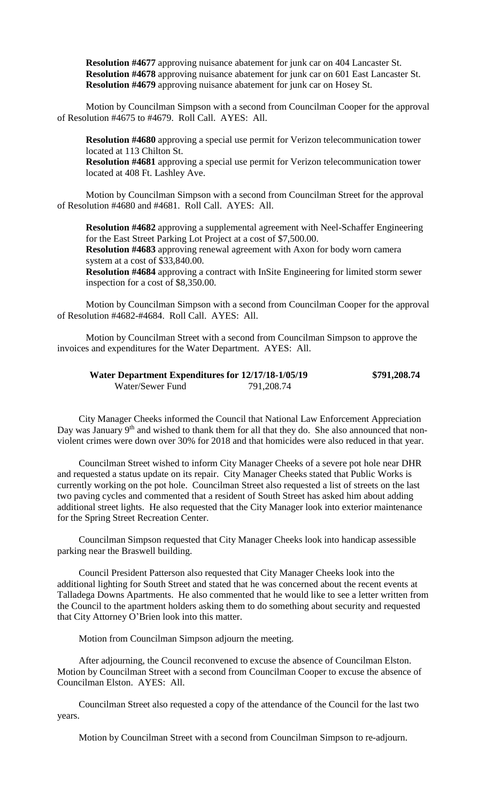**Resolution #4677** approving nuisance abatement for junk car on 404 Lancaster St. **Resolution #4678** approving nuisance abatement for junk car on 601 East Lancaster St. **Resolution #4679** approving nuisance abatement for junk car on Hosey St.

Motion by Councilman Simpson with a second from Councilman Cooper for the approval of Resolution #4675 to #4679. Roll Call. AYES: All.

**Resolution #4680** approving a special use permit for Verizon telecommunication tower located at 113 Chilton St.

**Resolution #4681** approving a special use permit for Verizon telecommunication tower located at 408 Ft. Lashley Ave.

Motion by Councilman Simpson with a second from Councilman Street for the approval of Resolution #4680 and #4681. Roll Call. AYES: All.

**Resolution #4682** approving a supplemental agreement with Neel-Schaffer Engineering for the East Street Parking Lot Project at a cost of \$7,500.00.

**Resolution #4683** approving renewal agreement with Axon for body worn camera system at a cost of \$33,840.00.

**Resolution #4684** approving a contract with InSite Engineering for limited storm sewer inspection for a cost of \$8,350.00.

Motion by Councilman Simpson with a second from Councilman Cooper for the approval of Resolution #4682-#4684. Roll Call. AYES: All.

Motion by Councilman Street with a second from Councilman Simpson to approve the invoices and expenditures for the Water Department. AYES: All.

| Water Department Expenditures for 12/17/18-1/05/19 |            | \$791,208.74 |
|----------------------------------------------------|------------|--------------|
| Water/Sewer Fund                                   | 791,208.74 |              |

City Manager Cheeks informed the Council that National Law Enforcement Appreciation Day was January 9<sup>th</sup> and wished to thank them for all that they do. She also announced that nonviolent crimes were down over 30% for 2018 and that homicides were also reduced in that year.

Councilman Street wished to inform City Manager Cheeks of a severe pot hole near DHR and requested a status update on its repair. City Manager Cheeks stated that Public Works is currently working on the pot hole. Councilman Street also requested a list of streets on the last two paving cycles and commented that a resident of South Street has asked him about adding additional street lights. He also requested that the City Manager look into exterior maintenance for the Spring Street Recreation Center.

Councilman Simpson requested that City Manager Cheeks look into handicap assessible parking near the Braswell building.

Council President Patterson also requested that City Manager Cheeks look into the additional lighting for South Street and stated that he was concerned about the recent events at Talladega Downs Apartments. He also commented that he would like to see a letter written from the Council to the apartment holders asking them to do something about security and requested that City Attorney O'Brien look into this matter.

Motion from Councilman Simpson adjourn the meeting.

After adjourning, the Council reconvened to excuse the absence of Councilman Elston. Motion by Councilman Street with a second from Councilman Cooper to excuse the absence of Councilman Elston. AYES: All.

Councilman Street also requested a copy of the attendance of the Council for the last two years.

Motion by Councilman Street with a second from Councilman Simpson to re-adjourn.